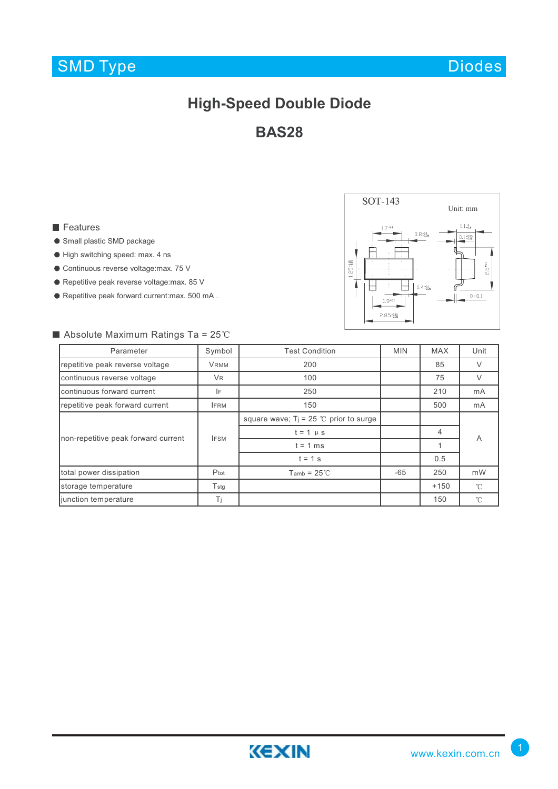## SMD Type

Diodes

## **High-Speed Double Diode**

**BAS28**

#### **Features**

- Small plastic SMD package
- High switching speed: max. 4 ns
- Continuous reverse voltage:max. 75 V
- Repetitive peak reverse voltage:max. 85 V
- Repetitive peak forward current:max. 500 mA .



### Absolute Maximum Ratings Ta =  $25^{\circ}$ C

| Parameter                           | Symbol        | <b>Test Condition</b>                     | <b>MIN</b> | <b>MAX</b> | Unit         |
|-------------------------------------|---------------|-------------------------------------------|------------|------------|--------------|
| repetitive peak reverse voltage     | <b>VRMM</b>   | 200                                       |            | 85         | V            |
| continuous reverse voltage          | <b>VR</b>     | 100                                       |            | 75         | V            |
| continuous forward current          | IF            | 250                                       |            | 210        | mA           |
| repetitive peak forward current     | <b>IFRM</b>   | 150                                       |            | 500        | mA           |
| non-repetitive peak forward current | <b>IFSM</b>   | square wave; $T_j = 25$ °C prior to surge |            |            | A            |
|                                     |               | $t = 1$ $\mu$ s                           |            | 4          |              |
|                                     |               | $t = 1$ ms                                |            |            |              |
|                                     |               | $t = 1$ s                                 |            | 0.5        |              |
| total power dissipation             | Ptot          | $Tamb = 25^\circ \text{C}$                | -65        | 250        | mW           |
| storage temperature                 | $T_{\rm stg}$ |                                           |            | $+150$     | $^{\circ}$ C |
| junction temperature                | Ti            |                                           |            | 150        | $\hat{C}$    |